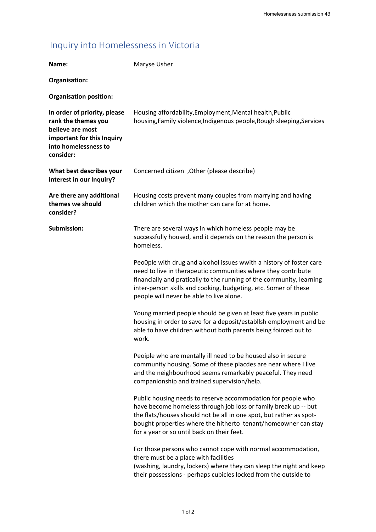## Inquiry into Homelessness in Victoria

|                                                                                                                                            | Homelessness submission 43                                                                                                                                                                                                                                                                                                  |
|--------------------------------------------------------------------------------------------------------------------------------------------|-----------------------------------------------------------------------------------------------------------------------------------------------------------------------------------------------------------------------------------------------------------------------------------------------------------------------------|
| Inquiry into Homelessness in Victoria                                                                                                      |                                                                                                                                                                                                                                                                                                                             |
| Name:                                                                                                                                      | Maryse Usher                                                                                                                                                                                                                                                                                                                |
| Organisation:                                                                                                                              |                                                                                                                                                                                                                                                                                                                             |
| <b>Organisation position:</b>                                                                                                              |                                                                                                                                                                                                                                                                                                                             |
| In order of priority, please<br>rank the themes you<br>believe are most<br>important for this Inquiry<br>into homelessness to<br>consider: | Housing affordability, Employment, Mental health, Public<br>housing, Family violence, Indigenous people, Rough sleeping, Services                                                                                                                                                                                           |
| What best describes your<br>interest in our Inquiry?                                                                                       | Concerned citizen, Other (please describe)                                                                                                                                                                                                                                                                                  |
| Are there any additional<br>themes we should<br>consider?                                                                                  | Housing costs prevent many couples from marrying and having<br>children which the mother can care for at home.                                                                                                                                                                                                              |
| Submission:                                                                                                                                | There are several ways in which homeless people may be<br>successfully housed, and it depends on the reason the person is<br>homeless.                                                                                                                                                                                      |
|                                                                                                                                            | PeoOple with drug and alcohol issues wwith a history of foster care<br>need to live in therapeutic communities where they contribute<br>financially and pratically to the running of the community, learning<br>inter-person skills and cooking, budgeting, etc. Somer of these<br>people will never be able to live alone. |
|                                                                                                                                            | Young married people should be given at least five years in public<br>housing in order to save for a deposit/establlsh employment and be<br>able to have children without both parents being foirced out to<br>work.                                                                                                        |
|                                                                                                                                            | Peoiple who are mentally ill need to be housed also in secure<br>community housing. Some of these placdes are near where I live<br>and the neighbourhood seems remarkably peaceful. They need<br>companionship and trained supervision/help.                                                                                |
|                                                                                                                                            | Public housing needs to reserve accommodation for people who<br>have become homeless through job loss or family break up -- but<br>the flats/houses should not be all in one spot, but rather as spot-<br>bought properties where the hitherto tenant/homeowner can stay<br>for a year or so until back on their feet.      |
|                                                                                                                                            | For those persons who cannot cope with normal accommodation,<br>there must be a place with facilities<br>(washing, laundry, lockers) where they can sleep the night and keep<br>their possessions - perhaps cubicles locked from the outside to                                                                             |
|                                                                                                                                            | $1$ of $2$                                                                                                                                                                                                                                                                                                                  |